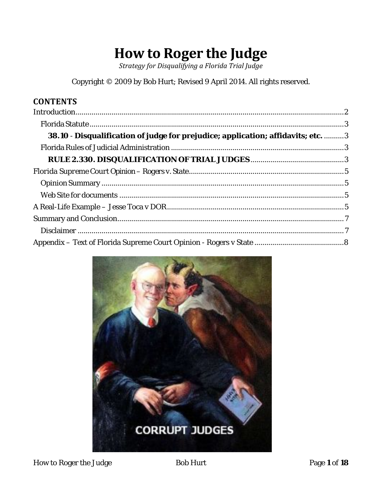# **How to Roger the Judge**

*Strategy for Disqualifying a Florida Trial Judge*

Copyright © 2009 by Bob Hurt; Revised 9 April 2014. All rights reserved.

| <b>CONTENTS</b>                                                                   |  |
|-----------------------------------------------------------------------------------|--|
|                                                                                   |  |
|                                                                                   |  |
| 38.10 - Disqualification of judge for prejudice; application; affidavits; etc.  3 |  |
|                                                                                   |  |
|                                                                                   |  |
|                                                                                   |  |
|                                                                                   |  |
|                                                                                   |  |
|                                                                                   |  |
|                                                                                   |  |
|                                                                                   |  |
|                                                                                   |  |
|                                                                                   |  |



How to Roger the Judge Bob Hurt Bob Hurt Page 1 of 18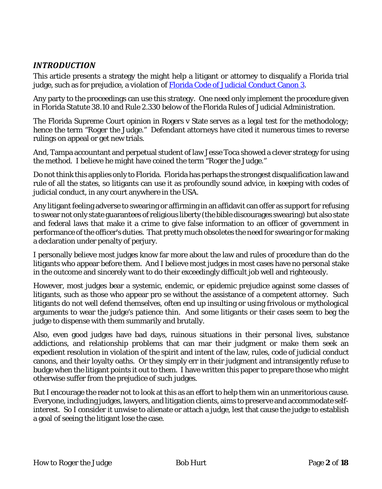# <span id="page-1-0"></span>*INTRODUCTION*

This article presents a strategy the might help a litigant or attorney to disqualify a Florida trial judge, such as for prejudice, a violation of [Florida Code of Judicial Conduct Canon 3.](http://www.floridasupremecourt.org/decisions/ethics/canon3.shtml)

Any party to the proceedings can use this strategy. One need only implement the procedure given in Florida Statute 38.10 and Rule 2.330 below of the Florida Rules of Judicial Administration.

The Florida Supreme Court opinion in Rogers v State serves as a legal test for the methodology; hence the term "Roger the Judge." Defendant attorneys have cited it numerous times to reverse rulings on appeal or get new trials.

And, Tampa accountant and perpetual student of law Jesse Toca showed a clever strategy for using the method. I believe he might have coined the term "Roger the Judge."

Do not think this applies only to Florida. Florida has perhaps the strongest disqualification law and rule of all the states, so litigants can use it as profoundly sound advice, in keeping with codes of judicial conduct, in any court anywhere in the USA.

Any litigant feeling adverse to swearing or affirming in an affidavit can offer as support for refusing to swear not only state guarantees of religious liberty (the bible discourages swearing) but also state and federal laws that make it a crime to give false information to an officer of government in performance of the officer's duties. That pretty much obsoletes the need for swearing or for making a declaration under penalty of perjury.

I personally believe most judges know far more about the law and rules of procedure than do the litigants who appear before them. And I believe most judges in most cases have no personal stake in the outcome and sincerely want to do their exceedingly difficult job well and righteously.

However, most judges bear a systemic, endemic, or epidemic prejudice against some classes of litigants, such as those who appear pro se without the assistance of a competent attorney. Such litigants do not well defend themselves, often end up insulting or using frivolous or mythological arguments to wear the judge's patience thin. And some litigants or their cases seem to beg the judge to dispense with them summarily and brutally.

Also, even good judges have bad days, ruinous situations in their personal lives, substance addictions, and relationship problems that can mar their judgment or make them seek an expedient resolution in violation of the spirit and intent of the law, rules, code of judicial conduct canons, and their loyalty oaths. Or they simply err in their judgment and intransigently refuse to budge when the litigant points it out to them. I have written this paper to prepare those who might otherwise suffer from the prejudice of such judges.

But I encourage the reader not to look at this as an effort to help them win an unmeritorious cause. Everyone, including judges, lawyers, and litigation clients, aims to preserve and accommodate selfinterest. So I consider it unwise to alienate or attach a judge, lest that cause the judge to establish a goal of seeing the litigant lose the case.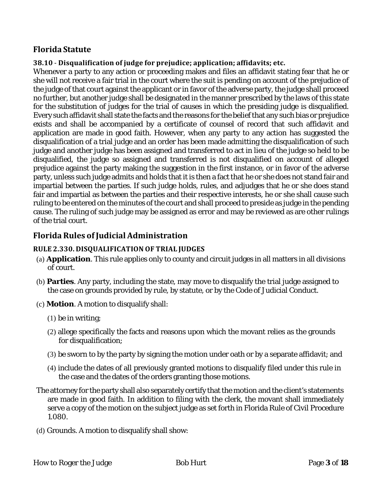# <span id="page-2-0"></span>**Florida Statute**

## <span id="page-2-1"></span>**38.10** - **Disqualification of judge for prejudice; application; affidavits; etc.**

Whenever a party to any action or proceeding makes and files an affidavit stating fear that he or she will not receive a fair trial in the court where the suit is pending on account of the prejudice of the judge of that court against the applicant or in favor of the adverse party, the judge shall proceed no further, but another judge shall be designated in the manner prescribed by the laws of this state for the substitution of judges for the trial of causes in which the presiding judge is disqualified. Every such affidavit shall state the facts and the reasons for the belief that any such bias or prejudice exists and shall be accompanied by a certificate of counsel of record that such affidavit and application are made in good faith. However, when any party to any action has suggested the disqualification of a trial judge and an order has been made admitting the disqualification of such judge and another judge has been assigned and transferred to act in lieu of the judge so held to be disqualified, the judge so assigned and transferred is not disqualified on account of alleged prejudice against the party making the suggestion in the first instance, or in favor of the adverse party, unless such judge admits and holds that it is then a fact that he or she does not stand fair and impartial between the parties. If such judge holds, rules, and adjudges that he or she does stand fair and impartial as between the parties and their respective interests, he or she shall cause such ruling to be entered on the minutes of the court and shall proceed to preside as judge in the pending cause. The ruling of such judge may be assigned as error and may be reviewed as are other rulings of the trial court.

# <span id="page-2-2"></span>**Florida Rules ofJudicial Administration**

#### <span id="page-2-3"></span>**RULE 2.330. DISQUALIFICATION OF TRIAL JUDGES**

- (a) **Application**. This rule applies only to county and circuit judges in all matters in all divisions of court.
- (b) **Parties**. Any party, including the state, may move to disqualify the trial judge assigned to the case on grounds provided by rule, by statute, or by the Code of Judicial Conduct.
- (c) **Motion**. A motion to disqualify shall:
	- (1) be in writing;
	- (2) allege specifically the facts and reasons upon which the movant relies as the grounds for disqualification;
	- (3) be sworn to by the party by signing the motion under oath or by a separate affidavit; and
	- (4) include the dates of all previously granted motions to disqualify filed under this rule in the case and the dates of the orders granting those motions.
- The attorney for the party shall also separately certify that the motion and the client's statements are made in good faith. In addition to filing with the clerk, the movant shall immediately serve a copy of the motion on the subject judge as set forth in Florida Rule of Civil Procedure 1.080.
- (d) Grounds. A motion to disqualify shall show: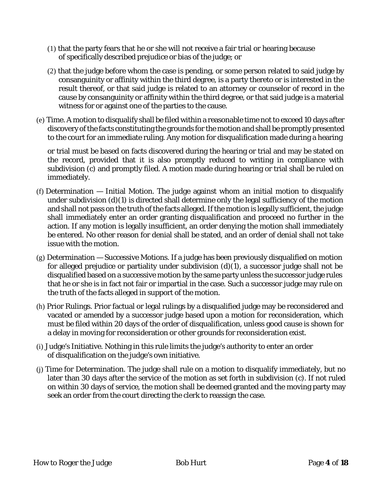- (1) that the party fears that he or she will not receive a fair trial or hearing because of specifically described prejudice or bias of the judge; or
- (2) that the judge before whom the case is pending, or some person related to said judge by consanguinity or affinity within the third degree, is a party thereto or is interested in the result thereof, or that said judge is related to an attorney or counselor of record in the cause by consanguinity or affinity within the third degree, or that said judge is a material witness for or against one of the parties to the cause.
- (e) Time. A motion to disqualify shall be filed within a reasonable time not to exceed 10 days after discovery of the facts constituting the grounds for the motion and shall be promptly presented to the court for an immediate ruling. Any motion for disqualification made during a hearing

or trial must be based on facts discovered during the hearing or trial and may be stated on the record, provided that it is also promptly reduced to writing in compliance with subdivision (c) and promptly filed. A motion made during hearing or trial shall be ruled on immediately.

- (f) Determination Initial Motion. The judge against whom an initial motion to disqualify under subdivision (d)(1) is directed shall determine only the legal sufficiency of the motion and shall not pass on the truth of the facts alleged.If the motion is legally sufficient, the judge shall immediately enter an order granting disqualification and proceed no further in the action. If any motion is legally insufficient, an order denying the motion shall immediately be entered. No other reason for denial shall be stated, and an order of denial shall not take issue with the motion.
- (g) Determination Successive Motions. If a judge has been previously disqualified on motion for alleged prejudice or partiality under subdivision (d)(1), a successor judge shall not be disqualified based on a successive motion by the same party unless the successor judge rules that he or she is in fact not fair or impartial in the case. Such a successor judge may rule on the truth of the facts alleged in support of the motion.
- (h) Prior Rulings. Prior factual or legal rulings by a disqualified judge may be reconsidered and vacated or amended by a successor judge based upon a motion for reconsideration, which must be filed within 20 days of the order of disqualification, unless good cause is shown for a delay in moving for reconsideration or other grounds for reconsideration exist.
- (i) Judge's Initiative. Nothing in this rule limits the judge's authority to enter an order of disqualification on the judge's own initiative.
- (j) Time for Determination. The judge shall rule on a motion to disqualify immediately, but no later than 30 days after the service of the motion as set forth in subdivision (c). If not ruled on within 30 days of service, the motion shall be deemed granted and the moving party may seek an order from the court directing the clerk to reassign the case.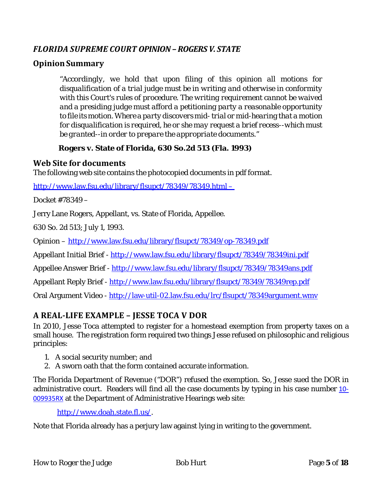# <span id="page-4-0"></span>*FLORIDA SUPREME COURT OPINION –ROGERS V. STATE*

# <span id="page-4-1"></span>**OpinionSummary**

*"Accordingly, we hold that upon filing of this opinion all motions for disqualification of a trial judge must be in writing and otherwise in conformity with this Court's rules of procedure. The writing requirement cannot be waived and a presiding judge must afford a petitioning party a reasonable opportunity to file its motion.Where a party discovers mid-trial or mid-hearing that a motion for disqualification is required, he or she may request a brief recess--which must be granted--in order to prepare the appropriate documents."*

## **Rogers v. State of Florida, 630 So.2d 513 (Fla. 1993)**

## <span id="page-4-2"></span>**Web Site for documents**

The following web site contains the photocopied documents in pdf format.

<http://www.law.fsu.edu/library/flsupct/78349/78349.html> –

Docket #78349 –

Jerry Lane Rogers, Appellant, vs. State of Florida, Appellee.

630 So. 2d 513; July 1, 1993.

Opinion – <http://www.law.fsu.edu/library/flsupct/78349/op-78349.pdf>

Appellant Initial Brief - <http://www.law.fsu.edu/library/flsupct/78349/78349ini.pdf>

Appellee Answer Brief - <http://www.law.fsu.edu/library/flsupct/78349/78349ans.pdf>

Appellant Reply Brief - <http://www.law.fsu.edu/library/flsupct/78349/78349rep.pdf>

Oral Argument Video - <http://law-util-02.law.fsu.edu/lrc/flsupct/78349argument.wmv>

# <span id="page-4-3"></span>**A REAL-LIFE EXAMPLE – JESSE TOCA V DOR**

In 2010, Jesse Toca attempted to register for a homestead exemption from property taxes on a small house. The registration form required two things Jesse refused on philosophic and religious principles:

- 1. A social security number; and
- 2. A sworn oath that the form contained accurate information.

The Florida Department of Revenue ("DOR") refused the exemption. So, Jesse sued the DOR in administrative court. Readers will find all the case documents by typing in his case number [10-](http://www.doah.state.fl.us/ALJ/searchDOAH/includes/caseInfoQuery.asp?caseID=111630&pc=1&rc=0) [009935RX](http://www.doah.state.fl.us/ALJ/searchDOAH/includes/caseInfoQuery.asp?caseID=111630&pc=1&rc=0) at the Department of Administrative Hearings web site:

[http://www.doah.state.fl.us/.](http://www.doah.state.fl.us/)

Note that Florida already has a perjury law against lying in writing to the government.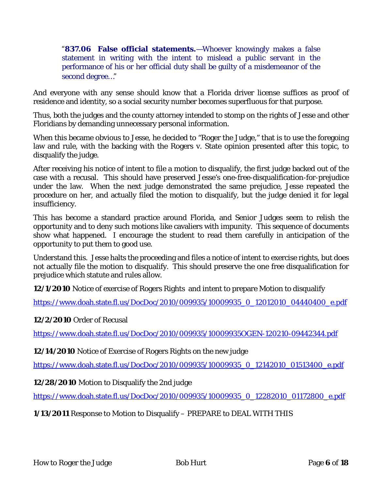"**837.06 False official statements.**—Whoever knowingly makes a false statement in writing with the intent to mislead a public servant in the performance of his or her official duty shall be guilty of a misdemeanor of the second degree…"

And everyone with any sense should know that a Florida driver license suffices as proof of residence and identity, so a social security number becomes superfluous for that purpose.

Thus, both the judges and the county attorney intended to stomp on the rights of Jesse and other Floridians by demanding unnecessary personal information.

When this became obvious to Jesse, he decided to "Roger the Judge," that is to use the foregoing law and rule, with the backing with the Rogers v. State opinion presented after this topic, to disqualify the judge.

After receiving his notice of intent to file a motion to disqualify, the first judge backed out of the case with a recusal. This should have preserved Jesse's one-free-disqualification-for-prejudice under the law. When the next judge demonstrated the same prejudice, Jesse repeated the procedure on her, and actually filed the motion to disqualify, but the judge denied it for legal insufficiency.

This has become a standard practice around Florida, and Senior Judges seem to relish the opportunity and to deny such motions like cavaliers with impunity. This sequence of documents show what happened. I encourage the student to read them carefully in anticipation of the opportunity to put them to good use.

Understand this. Jesse halts the proceeding and files a notice of intent to exercise rights, but does not actually file the motion to disqualify. This should preserve the one free disqualification for prejudice which statute and rules allow.

**12/1/2010** Notice of exercise of Rogers Rights and intent to prepare Motion to disqualify

[https://www.doah.state.fl.us/DocDoc/2010/009935/10009935\\_0\\_12012010\\_04440400\\_e.pdf](https://www.doah.state.fl.us/DocDoc/2010/009935/10009935_0_12012010_04440400_e.pdf)

#### **12/2/2010** Order of Recusal

<https://www.doah.state.fl.us/DocDoc/2010/009935/10009935OGEN-120210-09442344.pdf>

**12/14/2010** Notice of Exercise of Rogers Rights on the new judge

[https://www.doah.state.fl.us/DocDoc/2010/009935/10009935\\_0\\_12142010\\_01513400\\_e.pdf](https://www.doah.state.fl.us/DocDoc/2010/009935/10009935_0_12142010_01513400_e.pdf)

**12/28/2010** Motion to Disqualify the 2nd judge

[https://www.doah.state.fl.us/DocDoc/2010/009935/10009935\\_0\\_12282010\\_01172800\\_e.pdf](https://www.doah.state.fl.us/DocDoc/2010/009935/10009935_0_12282010_01172800_e.pdf)

**1/13/2011** Response to Motion to Disqualify – PREPARE to DEAL WITH THIS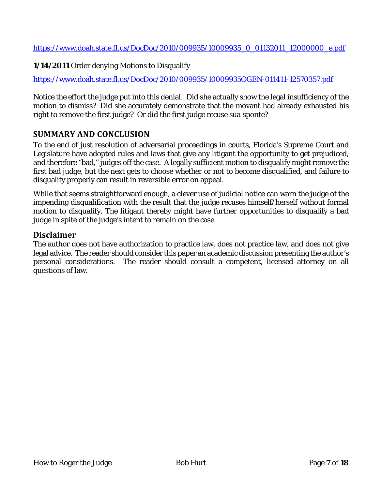[https://www.doah.state.fl.us/DocDoc/2010/009935/10009935\\_0\\_01132011\\_12000000\\_e.pdf](https://www.doah.state.fl.us/DocDoc/2010/009935/10009935_0_01132011_12000000_e.pdf)

#### **1/14/2011** Order denying Motions to Disqualify

<https://www.doah.state.fl.us/DocDoc/2010/009935/10009935OGEN-011411-12570357.pdf>

Notice the effort the judge put into this denial. Did she actually show the legal insufficiency of the motion to dismiss? Did she accurately demonstrate that the movant had already exhausted his right to remove the first judge? Or did the first judge recuse *sua sponte*?

#### <span id="page-6-0"></span>**SUMMARY AND CONCLUSION**

To the end of just resolution of adversarial proceedings in courts, Florida's Supreme Court and Legislature have adopted rules and laws that give any litigant the opportunity to get prejudiced, and therefore "bad," judges off the case. A legally sufficient motion to disqualify might remove the first bad judge, but the next gets to choose whether or not to become disqualified, and failure to disqualify properly can result in reversible error on appeal.

While that seems straightforward enough, a clever use of judicial notice can warn the judge of the impending disqualification with the result that the judge recuses himself/herself without formal motion to disqualify. The litigant thereby might have further opportunities to disqualify a bad judge in spite of the judge's intent to remain on the case.

#### <span id="page-6-1"></span>**Disclaimer**

The author does not have authorization to practice law, does not practice law, and does not give legal advice. The reader should consider this paper an academic discussion presenting the author's personal considerations. The reader should consult a competent, licensed attorney on all questions of law.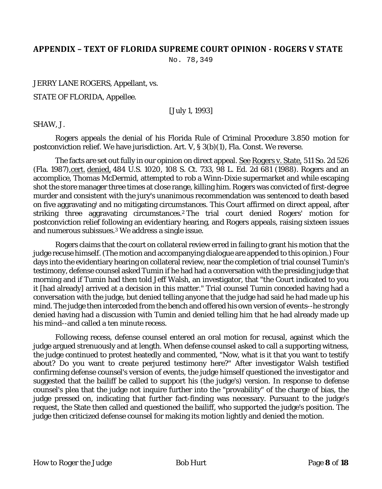#### <span id="page-7-0"></span>**APPENDIX – TEXT OF FLORIDA SUPREME COURT OPINION - ROGERS V STATE**

No. 78,349

JERRY LANE ROGERS, Appellant, vs.

STATE OF FLORIDA, Appellee.

#### [July 1, 1993]

#### SHAW, J.

Rogers appeals the denial of his Florida Rule of Criminal Procedure 3.850 motion for postconviction relief. We have jurisdiction. Art. V, § 3(b)(1), Fla. Const. We reverse.

The facts are set out fully in our opinion on direct appeal. See Rogers v. State, 511 So. 2d 526 (Fla. 1987),cert. denied, 484 U.S. 1020, 108 S. Ct. 733, 98 L. Ed. 2d 681 (1988). Rogers and an accomplice, Thomas McDermid, attempted to rob a Winn-Dixie supermarket and while escaping shot the store manager three times at close range, killing him. Rogers was convicted of first-degree murder and consistent with the jury's unanimous recommendation was sentenced to death based on five aggravating) and no mitigating circumstances. This Court affirmed on direct appeal, after striking three aggravating circumstances.2 The trial court denied Rogers' motion for postconviction relief following an evidentiary hearing, and Rogers appeals, raising sixteen issues and numerous subissues.3 We address a single issue.

Rogers claims that the court on collateral review erred in failing to grant his motion that the judge recuse himself. (The motion and accompanying dialogue are appended to this opinion.) Four days into the evidentiary hearing on collateral review, near the completion of trial counsel Tumin's testimony, defense counsel asked Tumin if he had had a conversation with the presiding judge that morning and if Tumin had then told Jeff Walsh, an investigator, that "the Court indicated to you it [had already] arrived at a decision in this matter." Trial counsel Tumin conceded having had a conversation with the judge, but denied telling anyone that the judge had said he had made up his mind. The judge then interceded from the bench and offered his own version of events--he strongly denied having had a discussion with Tumin and denied telling him that he had already made up his mind--and called a ten minute recess.

Following recess, defense counsel entered an oral motion for recusal, against which the judge argued strenuously and at length. When defense counsel asked to call a supporting witness, the judge continued to protest heatedly and commented, "Now, what is it that you want to testify about? Do you want to create perjured testimony here?" After investigator Walsh testified confirming defense counsel's version of events, the judge himself questioned the investigator and suggested that the bailiff be called to support his (the judge's) version. In response to defense counsel's plea that the judge not inquire further into the "provability" of the charge of bias, the judge pressed on, indicating that further fact-finding was necessary. Pursuant to the judge's request, the State then called and questioned the bailiff, who supported the judge's position. The judge then criticized defense counsel for making its motion lightly and denied the motion.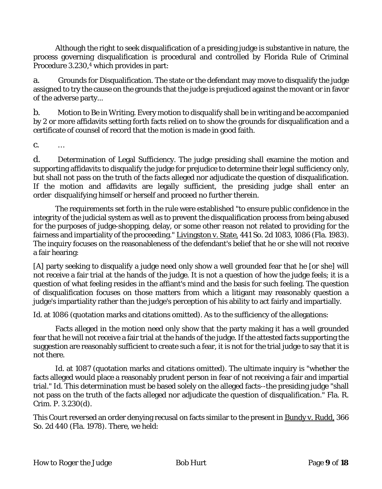Although the right to seek disqualification of a presiding judge is substantive in nature, the process governing disqualification is procedural and controlled by Florida Rule of Criminal Procedure 3.230,<sup>4</sup> which provides in part:

a. Grounds for Disqualification. The state or the defendant may move to disqualify the judge assigned to try the cause on the grounds that the judge is prejudiced against the movant or in favor of the adverse party...

b. Motion to Be in Writing. Every motion to disqualify shall be in writing and be accompanied by 2 or more affidavits setting forth facts relied on to show the grounds for disqualification and a certificate of counsel of record that the motion is made in good faith.

c. …

d. Determination of Legal Sufficiency. The judge presiding shall examine the motion and supporting affidavits to disqualify the judge for prejudice to determine their legal sufficiency only, but shall not pass on the truth of the facts alleged nor adjudicate the question of disqualification. If the motion and affidavits are legally sufficient, the presiding judge shall enter an order disqualifying himself or herself and proceed no further therein.

The requirements set forth in the rule were established "to ensure public confidence in the integrity of the judicial system as well as to prevent the disqualification process from being abused for the purposes of judge-shopping, delay, or some other reason not related to providing for the fairness and impartiality of the proceeding." Livingston v. State, 441 So. 2d 1083, 1086 (Fla. 1983). The inquiry focuses on the reasonableness of the defendant's belief that he or she will not receive a fair hearing:

[A] party seeking to disqualify a judge need only show a well grounded fear that he [or she] will not receive a fair trial at the hands of the judge. It is not a question of how the judge feels; it is a question of what feeling resides in the affiant's mind and the basis for such feeling. The question of disqualification focuses on those matters from which a litigant may reasonably question a judge's impartiality rather than the judge's perception of his ability to act fairly and impartially.

Id. at 1086 (quotation marks and citations omitted). As to the sufficiency of the allegations:

Facts alleged in the motion need only show that the party making it has a well grounded fear that he will not receive a fair trial at the hands of the judge. If the attested facts supporting the suggestion are reasonably sufficient to create such a fear, it is not for the trial judge to say that it is not there.

Id. at 1087 (quotation marks and citations omitted). The ultimate inquiry is "whether the facts alleged would place a reasonably prudent person in fear of not receiving a fair and impartial trial." Id. This determination must be based solely on the alleged facts--the presiding judge "shall not pass on the truth of the facts alleged nor adjudicate the question of disqualification." Fla. R. Crim. P. 3.230(d).

This Court reversed an order denying recusal on facts similar to the present in Bundy v. Rudd, 366 So. 2d 440 (Fla. 1978). There, we held: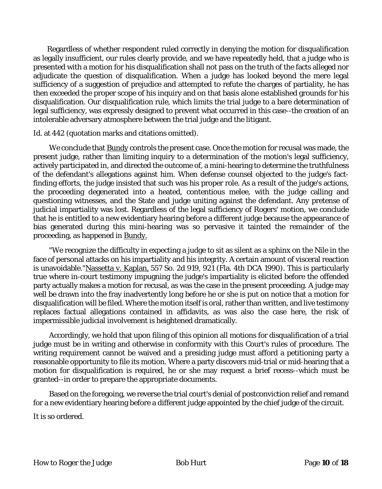Regardless of whether respondent ruled correctly in denying the motion for disqualification as legally insufficient, our rules clearly provide, and we have repeatedly held, that a judge who is presented with a motion for his disqualification shall not pass on the truth of the facts alleged nor adjudicate the question of disqualification. When a judge has looked beyond the mere legal sufficiency of a suggestion of prejudice and attempted to refute the charges of partiality, he has then exceeded the proper scope of his inquiry and on that basis alone established grounds for his disqualification. Our disqualification rule, which limits the trial judge to a bare determination of legal sufficiency, was expressly designed to prevent what occurred in this case--the creation of an intolerable adversary atmosphere between the trial judge and the litigant.

Id. at 442 (quotation marks and citations omitted).

We conclude that **Bundy** controls the present case. Once the motion for recusal was made, the present judge, rather than limiting inquiry to a determination of the motion's legal sufficiency, actively participated in, and directed the outcome of, a mini-hearing to determine the truthfulness of the defendant's allegations against him. When defense counsel objected to the judge's factfinding efforts, the judge insisted that such was his proper role. As a result of the judge's actions, the proceeding degenerated into a heated, contentious melee, with the judge calling and questioning witnesses, and the State and judge uniting against the defendant. Any pretense of judicial impartiality was lost. Regardless of the legal sufficiency of Rogers' motion, we conclude that he is entitled to a new evidentiary hearing before a different judge because the appearance of bias generated during this mini-hearing was so pervasive it tainted the remainder of the proceeding, as happened in Bundy.

"We recognize the difficulty in expecting a judge to sit as silent as a sphinx on the Nile in the face of personal attacks on his impartiality and his integrity. A certain amount of visceral reaction is unavoidable."Nassetta v. Kaplan, 557 So. 2d 919, 921 (Fla. 4th DCA 1990). This is particularly true where in-court testimony impugning the judge's impartiality is elicited before the offended party actually makes a motion for recusal, as was the case in the present proceeding. A judge may well be drawn into the fray inadvertently long before he or she is put on notice that a motion for disqualification will be filed. Where the motion itself is oral, rather than written, and live testimony replaces factual allegations contained in affidavits, as was also the case here, the risk of impermissible judicial involvement is heightened dramatically.

Accordingly, we hold that upon filing of this opinion all motions for disqualification of a trial judge must be in writing and otherwise in conformity with this Court's rules of procedure. The writing requirement cannot be waived and a presiding judge must afford a petitioning party a reasonable opportunity to file its motion. Where a party discovers mid-trial or mid-hearing that a motion for disqualification is required, he or she may request a brief recess--which must be granted--in order to prepare the appropriate documents.

Based on the foregoing, we reverse the trial court's denial of postconviction relief and remand for a new evidentiary hearing before a different judge appointed by the chief judge of the circuit.

It is so ordered.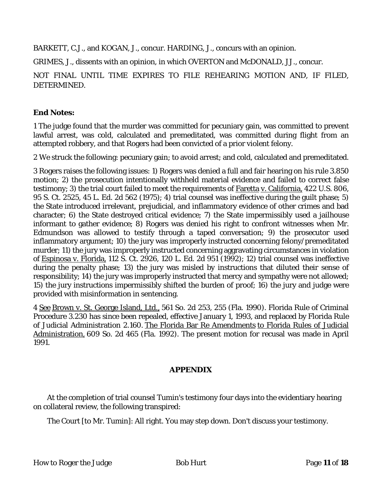BARKETT, C.J., and KOGAN, J., concur. HARDING, J., concurs with an opinion.

GRIMES, J., dissents with an opinion, in which OVERTON and McDONALD, JJ., concur.

NOT FINAL UNTIL TIME EXPIRES TO FILE REHEARING MOTION AND, IF FILED, DETERMINED.

#### **End Notes:**

1 The judge found that the murder was committed for pecuniary gain, was committed to prevent lawful arrest, was cold, calculated and premeditated, was committed during flight from an attempted robbery, and that Rogers had been convicted of a prior violent felony.

2 We struck the following: pecuniary gain; to avoid arrest; and cold, calculated and premeditated.

3 Rogers raises the following issues: 1) Rogers was denied a full and fair hearing on his rule 3.850 motion; 2) the prosecution intentionally withheld material evidence and failed to correct false testimony; 3) the trial court failed to meet the requirements of Faretta v. California, 422 U.S. 806, 95 S. Ct. 2525, 45 L. Ed. 2d 562 (1975); 4) trial counsel was ineffective during the guilt phase; 5) the State introduced irrelevant, prejudicial, and inflammatory evidence of other crimes and bad character; 6) the State destroyed critical evidence; 7) the State impermissibly used a jailhouse informant to gather evidence; 8) Rogers was denied his right to confront witnesses when Mr. Edmundson was allowed to testify through a taped conversation; 9) the prosecutor used inflammatory argument; 10) the jury was improperly instructed concerning felony/premeditated murder; 11) the jury was improperly instructed concerning aggravating circumstances in violation of Espinosa v. Florida, 112 S. Ct. 2926, 120 L. Ed. 2d 951 (1992); 12) trial counsel was ineffective during the penalty phase; 13) the jury was misled by instructions that diluted their sense of responsibility; 14) the jury was improperly instructed that mercy and sympathy were not allowed; 15) the jury instructions impermissibly shifted the burden of proof; 16) the jury and judge were provided with misinformation in sentencing.

4 See Brown v. St. George Island, Ltd., 561 So. 2d 253, 255 (Fla. 1990). Florida Rule of Criminal Procedure 3.230 has since been repealed, effective January 1, 1993, and replaced by Florida Rule of Judicial Administration 2.160. The Florida Bar Re Amendments to Florida Rules of Judicial Administration, 609 So. 2d 465 (Fla. 1992). The present motion for recusal was made in April 1991.

## **APPENDIX**

At the completion of trial counsel Tumin's testimony four days into the evidentiary hearing on collateral review, the following transpired:

The Court [to Mr. Tumin]: All right. You may step down. Don't discuss your testimony.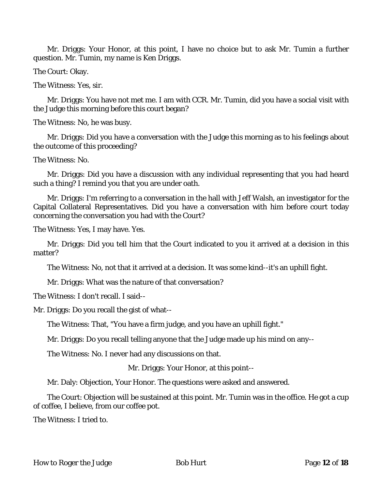Mr. Driggs: Your Honor, at this point, I have no choice but to ask Mr. Tumin a further question. Mr. Tumin, my name is Ken Driggs.

The Court: Okay.

The Witness: Yes, sir.

Mr. Driggs: You have not met me. I am with CCR. Mr. Tumin, did you have a social visit with the Judge this morning before this court began?

The Witness: No, he was busy.

Mr. Driggs: Did you have a conversation with the Judge this morning as to his feelings about the outcome of this proceeding?

The Witness: No.

Mr. Driggs: Did you have a discussion with any individual representing that you had heard such a thing? I remind you that you are under oath.

Mr. Driggs: I'm referring to a conversation in the hall with Jeff Walsh, an investigator for the Capital Collateral Representatives. Did you have a conversation with him before court today concerning the conversation you had with the Court?

The Witness: Yes, I may have. Yes.

Mr. Driggs: Did you tell him that the Court indicated to you it arrived at a decision in this matter?

The Witness: No, not that it arrived at a decision. It was some kind--it's an uphill fight.

Mr. Driggs: What was the nature of that conversation?

The Witness: I don't recall. I said--

Mr. Driggs: Do you recall the gist of what--

The Witness: That, "You have a firm judge, and you have an uphill fight."

Mr. Driggs: Do you recall telling anyone that the Judge made up his mind on any--

The Witness: No. I never had any discussions on that.

Mr. Driggs: Your Honor, at this point--

Mr. Daly: Objection, Your Honor. The questions were asked and answered.

The Court: Objection will be sustained at this point. Mr. Tumin was in the office. He got a cup of coffee, I believe, from our coffee pot.

The Witness: I tried to.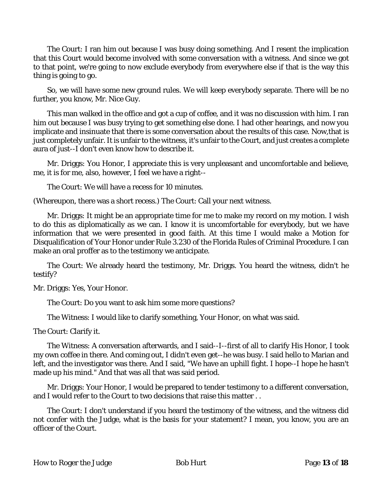The Court: I ran him out because I was busy doing something. And I resent the implication that this Court would become involved with some conversation with a witness. And since we got to that point, we're going to now exclude everybody from everywhere else if that is the way this thing is going to go.

So, we will have some new ground rules. We will keep everybody separate. There will be no further, you know, Mr. Nice Guy.

This man walked in the office and got a cup of coffee, and it was no discussion with him. I ran him out because I was busy trying to get something else done. I had other hearings, and now you implicate and insinuate that there is some conversation about the results of this case. Now,that is just completely unfair. It is unfair to the witness, it's unfair to the Court, and just creates a complete aura of just--I don't even know how to describe it.

Mr. Driggs: You Honor, I appreciate this is very unpleasant and uncomfortable and believe, me, it is for me, also, however, I feel we have a right--

The Court: We will have a recess for 10 minutes.

(Whereupon, there was a short recess.) The Court: Call your next witness.

Mr. Driggs: It might be an appropriate time for me to make my record on my motion. I wish to do this as diplomatically as we can. I know it is uncomfortable for everybody, but we have information that we were presented in good faith. At this time I would make a Motion for Disqualification of Your Honor under Rule 3.230 of the Florida Rules of Criminal Procedure. I can make an oral proffer as to the testimony we anticipate.

The Court: We already heard the testimony, Mr. Driggs. You heard the witness, didn't he testify?

Mr. Driggs: Yes, Your Honor.

The Court: Do you want to ask him some more questions?

The Witness: I would like to clarify something, Your Honor, on what was said.

The Court: Clarify it.

The Witness: A conversation afterwards, and I said--I--first of all to clarify His Honor, I took my own coffee in there. And coming out, I didn't even get--he was busy. I said hello to Marian and left, and the investigator was there. And I said, "We have an uphill fight. I hope--I hope he hasn't made up his mind." And that was all that was said period.

Mr. Driggs: Your Honor, I would be prepared to tender testimony to a different conversation, and I would refer to the Court to two decisions that raise this matter . .

The Court: I don't understand if you heard the testimony of the witness, and the witness did not confer with the Judge, what is the basis for your statement? I mean, you know, you are an officer of the Court.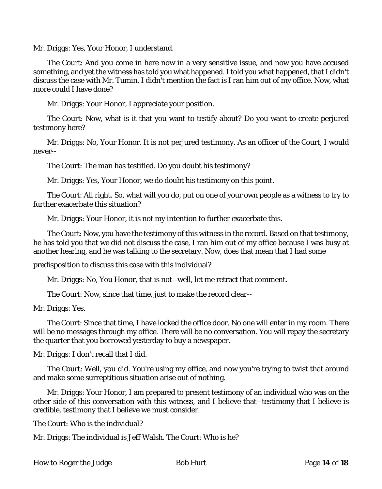Mr. Driggs: Yes, Your Honor, I understand.

The Court: And you come in here now in a very sensitive issue, and now you have accused something, and yet the witness has told you what happened. I told you what happened, that I didn't discuss the case with Mr. Tumin. I didn't mention the fact is I ran him out of my office. Now, what more could I have done?

Mr. Driggs: Your Honor, I appreciate your position.

The Court: Now, what is it that you want to testify about? Do you want to create perjured testimony here?

Mr. Driggs: No, Your Honor. It is not perjured testimony. As an officer of the Court, I would never--

The Court: The man has testified. Do you doubt his testimony?

Mr. Driggs: Yes, Your Honor, we do doubt his testimony on this point.

The Court: All right. So, what will you do, put on one of your own people as a witness to try to further exacerbate this situation?

Mr. Driggs: Your Honor, it is not my intention to further exacerbate this.

The Court: Now, you have the testimony of this witness in the record. Based on that testimony, he has told you that we did not discuss the case, I ran him out of my office because I was busy at another hearing, and he was talking to the secretary. Now, does that mean that I had some

predisposition to discuss this case with this individual?

Mr. Driggs: No, You Honor, that is not--well, let me retract that comment.

The Court: Now, since that time, just to make the record clear--

Mr. Driggs: Yes.

The Court: Since that time, I have locked the office door. No one will enter in my room. There will be no messages through my office. There will be no conversation. You will repay the secretary the quarter that you borrowed yesterday to buy a newspaper.

Mr. Driggs: I don't recall that I did.

The Court: Well, you did. You're using my office, and now you're trying to twist that around and make some surreptitious situation arise out of nothing.

Mr. Driggs: Your Honor, I am prepared to present testimony of an individual who was on the other side of this conversation with this witness, and I believe that--testimony that I believe is credible, testimony that I believe we must consider.

The Court: Who is the individual?

Mr. Driggs: The individual is Jeff Walsh. The Court: Who is he?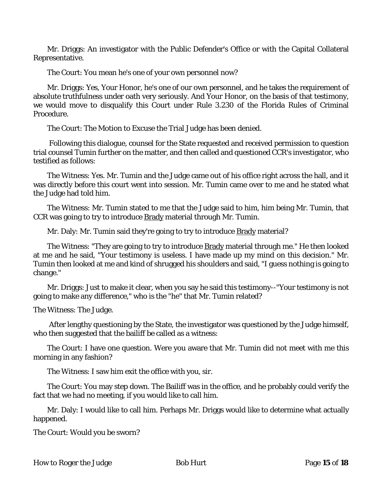Mr. Driggs: An investigator with the Public Defender's Office or with the Capital Collateral Representative.

The Court: You mean he's one of your own personnel now?

Mr. Driggs: Yes, Your Honor, he's one of our own personnel, and he takes the requirement of absolute truthfulness under oath very seriously. And Your Honor, on the basis of that testimony, we would move to disqualify this Court under Rule 3.230 of the Florida Rules of Criminal Procedure.

The Court: The Motion to Excuse the Trial Judge has been denied.

Following this dialogue, counsel for the State requested and received permission to question trial counsel Tumin further on the matter, and then called and questioned CCR's investigator, who testified as follows:

The Witness: Yes. Mr. Tumin and the Judge came out of his office right across the hall, and it was directly before this court went into session. Mr. Tumin came over to me and he stated what the Judge had told him.

The Witness: Mr. Tumin stated to me that the Judge said to him, him being Mr. Tumin, that CCR was going to try to introduce Brady material through Mr. Tumin.

Mr. Daly: Mr. Tumin said they're going to try to introduce **Brady** material?

The Witness: "They are going to try to introduce Brady material through me." He then looked at me and he said, "Your testimony is useless. I have made up my mind on this decision." Mr. Tumin then looked at me and kind of shrugged his shoulders and said, "I guess nothing is going to change."

Mr. Driggs: Just to make it clear, when you say he said this testimony--"Your testimony is not going to make any difference," who is the "he" that Mr. Tumin related?

The Witness: The Judge.

After lengthy questioning by the State, the investigator was questioned by the Judge himself, who then suggested that the bailiff be called as a witness:

The Court: I have one question. Were you aware that Mr. Tumin did not meet with me this morning in any fashion?

The Witness: I saw him exit the office with you, sir.

The Court: You may step down. The Bailiff was in the office, and he probably could verify the fact that we had no meeting, if you would like to call him.

Mr. Daly: I would like to call him. Perhaps Mr. Driggs would like to determine what actually happened.

The Court: Would you be sworn?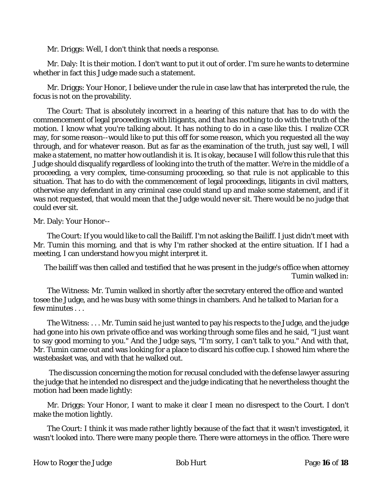Mr. Driggs: Well, I don't think that needs a response.

Mr. Daly: It is their motion. I don't want to put it out of order. I'm sure he wants to determine whether in fact this Judge made such a statement.

Mr. Driggs: Your Honor, I believe under the rule in case law that has interpreted the rule, the focus is not on the provability.

The Court: That is absolutely incorrect in a hearing of this nature that has to do with the commencement of legal proceedings with litigants, and that has nothing to do with the truth of the motion. I know what you're talking about. It has nothing to do in a case like this. I realize CCR may, for some reason--would like to put this off for some reason, which you requested all the way through, and for whatever reason. But as far as the examination of the truth, just say well, I will make a statement, no matter how outlandish it is. It is okay, because I will follow this rule that this Judge should disqualify regardless of looking into the truth of the matter. We're in the middle of a proceeding, a very complex, time-consuming proceeding, so that rule is not applicable to this situation. That has to do with the commencement of legal proceedings, litigants in civil matters, otherwise any defendant in any criminal case could stand up and make some statement, and if it was not requested, that would mean that the Judge would never sit. There would be no judge that could ever sit.

#### Mr. Daly: Your Honor--

The Court: If you would like to call the Bailiff. I'm not asking the Bailiff. I just didn't meet with Mr. Tumin this morning, and that is why I'm rather shocked at the entire situation. If I had a meeting, I can understand how you might interpret it.

The bailiff was then called and testified that he was present in the judge's office when attorney Tumin walked in:

The Witness: Mr. Tumin walked in shortly after the secretary entered the office and wanted to*see* the Judge, and he was busy with some things in chambers. And he talked to Marian for a few minutes . . .

The Witness: . . . Mr. Tumin said he just wanted to pay his respects to the Judge, and the judge had gone into his own private office and was working through some files and he said, "I just want to say good morning to you." And the Judge says, "I'm sorry, I can't talk to you." And with that, Mr. Tumin came out and was looking for a place to discard his coffee cup. I showed him where the wastebasket was, and with that he walked out.

The discussion concerning the motion for recusal concluded with the defense lawyer assuring the judge that he intended no disrespect and the judge indicating that he nevertheless thought the motion had been made lightly:

Mr. Driggs: Your Honor, I want to make it clear I mean no disrespect to the Court. I don't make the motion lightly.

The Court: I think it was made rather lightly because of the fact that it wasn't investigated, it wasn't looked into. There were many people there. There were attorneys in the office. There were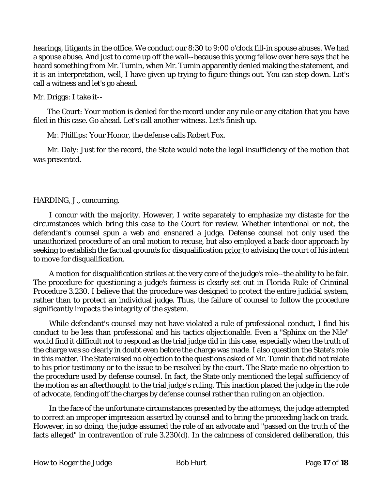hearings, litigants in the office. We conduct our 8:30 to 9:00 o'clock fill-in spouse abuses. We had a spouse abuse. And just to come up off the wall--because this young fellow over here says that he heard something from Mr. Tumin, when Mr. Tumin apparently denied making the statement, and it is an interpretation, well, I have given up trying to figure things out. You can step down. Lot's call a witness and let's go ahead.

Mr. Driggs: I take it--

The Court: Your motion is denied for the record under any rule or any citation that you have filed in this case. Go ahead. Let's call another witness. Let's finish up.

Mr. Phillips: Your Honor, the defense calls Robert Fox.

Mr. Daly: Just for the record, the State would note the legal insufficiency of the motion that was presented.

#### HARDING, J., concurring.

I concur with the majority. However, I write separately to emphasize my distaste for the circumstances which bring this case to the Court for review. Whether intentional or not, the defendant's counsel spun a web and ensnared a judge. Defense counsel not only used the unauthorized procedure of an oral motion to recuse, but also employed a back-door approach by seeking to establish the factual grounds for disqualification prior to advising the court of his intent to move for disqualification.

A motion for disqualification strikes at the very core of the judge's role--the ability to be fair. The procedure for questioning a judge's fairness is clearly set out in Florida Rule of Criminal Procedure 3.230. I believe that the procedure was designed to protect the entire judicial system, rather than to protect an individual judge. Thus, the failure of counsel to follow the procedure significantly impacts the integrity of the system.

While defendant's counsel may not have violated a rule of professional conduct, I find his conduct to be less than professional and his tactics objectionable. Even a "Sphinx on the Nile" would find it difficult not to respond as the trial judge did in this case, especially when the truth of the charge was so clearly in doubt even before the charge was made. I also question the State's role in this matter. The State raised no objection to the questions asked of Mr. Tumin that did not relate to his prior testimony or to the issue to be resolved by the court. The State made no objection to the procedure used by defense counsel. In fact, the State only mentioned the legal sufficiency of the motion as an afterthought to the trial judge's ruling. This inaction placed the judge in the role of advocate, fending off the charges by defense counsel rather than ruling on an objection.

In the face of the unfortunate circumstances presented by the attorneys, the judge attempted to correct an improper impression asserted by counsel and to bring the proceeding back on track. However, in so doing, the judge assumed the role of an advocate and "passed on the truth of the facts alleged" in contravention of rule 3.230(d). In the calmness of considered deliberation, this